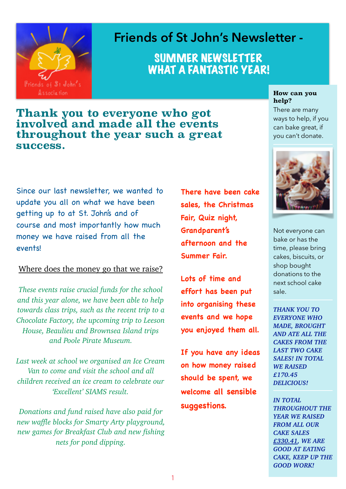

# **Friends of St John's Newsletter -**

SUMMER NEWSLETTER WHAT A FANTASTIC YEAR!

### **Thank you to everyone who got involved and made all the events throughout the year such a great success.**

Since our last newsletter, we wanted to update you all on what we have been getting up to at St. John's and of course and most importantly how much money we have raised from all the events!

### Where does the money go that we raise?

*These events raise crucial funds for the school and this year alone, we have been able to help towards class trips, such as the recent trip to a Chocolate Factory, the upcoming trip to Leeson House, Beaulieu and Brownsea Island trips and Poole Pirate Museum.* 

*Last week at school we organised an Ice Cream Van to come and visit the school and all children received an ice cream to celebrate our 'Excellent' SIAMS result.* 

*Donations and fund raised have also paid for new waffle blocks for Smarty Arty playground, new games for Breakfast Club and new fishing nets for pond dipping.* 

**There have been cake sales, the Christmas Fair, Quiz night, Grandparent's afternoon and the Summer Fair.**

**Lots of time and effort has been put into organising these events and we hope you enjoyed them all.**

**If you have any ideas on how money raised should be spent, we welcome all sensible suggestions.**

#### **How can you help?**

There are many ways to help, if you can bake great, if you can't donate.



Not everyone can bake or has the time, please bring cakes, biscuits, or shop bought donations to the next school cake sale.

*THANK YOU TO EVERYONE WHO MADE, BROUGHT AND ATE ALL THE CAKES FROM THE LAST TWO CAKE SALES! IN TOTAL WE RAISED £170.45 DELICIOUS!* 

*IN TOTAL THROUGHOUT THE YEAR WE RAISED FROM ALL OUR CAKE SALES £330.41, WE ARE GOOD AT EATING CAKE, KEEP UP THE GOOD WORK!*